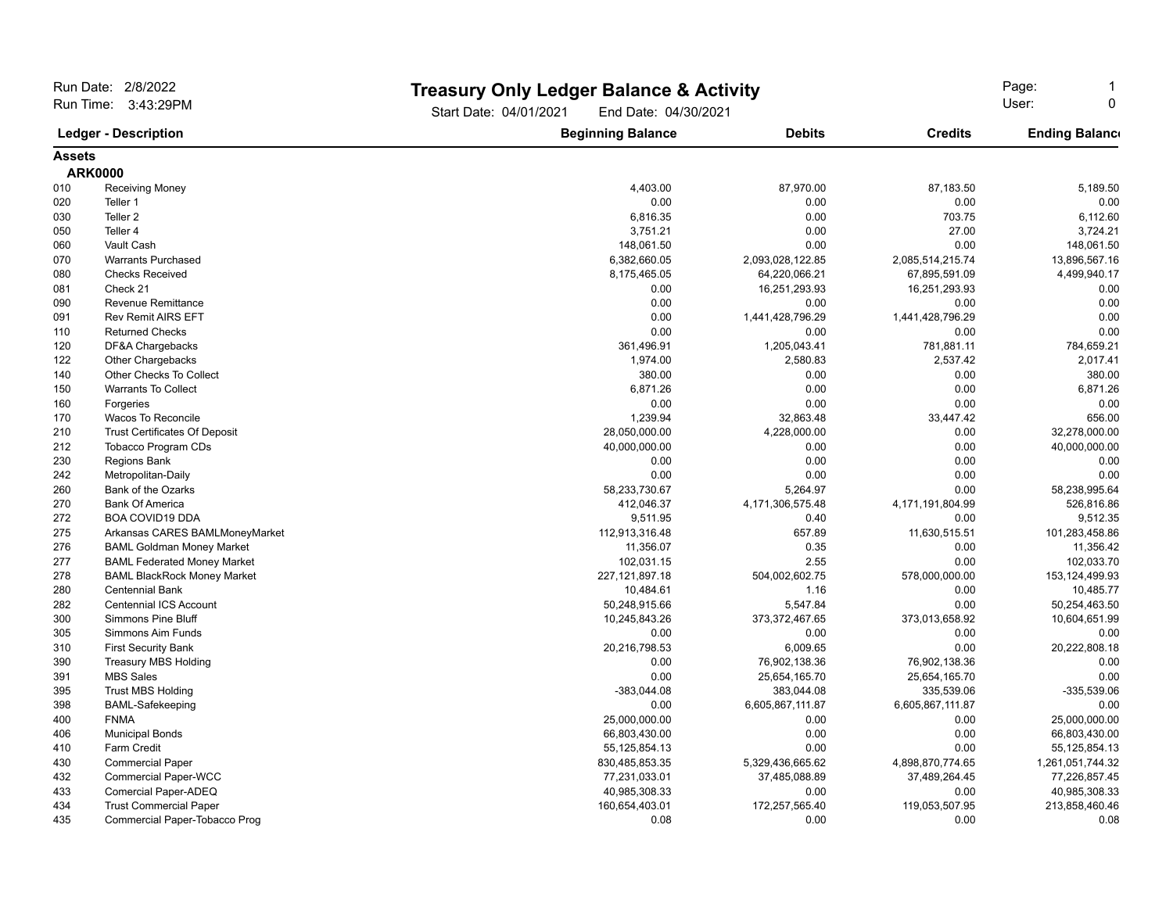| Run Date: 2/8/2022                                 |                                      |                                                | <b>Treasury Only Ledger Balance &amp; Activity</b> |                            |                             |  |
|----------------------------------------------------|--------------------------------------|------------------------------------------------|----------------------------------------------------|----------------------------|-----------------------------|--|
| Run Time: 3:43:29PM<br><b>Ledger - Description</b> |                                      | Start Date: 04/01/2021<br>End Date: 04/30/2021 |                                                    | Page:<br>User:<br>$\Omega$ |                             |  |
|                                                    |                                      | <b>Beginning Balance</b>                       | <b>Debits</b>                                      | <b>Credits</b>             | <b>Ending Balance</b>       |  |
| <b>Assets</b>                                      |                                      |                                                |                                                    |                            |                             |  |
|                                                    | <b>ARK0000</b>                       |                                                |                                                    |                            |                             |  |
| 010                                                | <b>Receiving Money</b>               | 4.403.00                                       | 87.970.00                                          | 87.183.50                  | 5,189.50                    |  |
| 020                                                | Teller 1                             | 0.00                                           | 0.00                                               | 0.00                       | 0.00                        |  |
| 030                                                | Teller <sub>2</sub>                  | 6,816.35                                       | 0.00                                               | 703.75                     | 6,112.60                    |  |
| 050                                                | Teller 4                             | 3,751.21                                       | 0.00                                               | 27.00                      | 3,724.21                    |  |
| 060                                                | Vault Cash                           | 148,061.50                                     | 0.00                                               | 0.00                       | 148,061.50                  |  |
| 070                                                | <b>Warrants Purchased</b>            | 6,382,660.05                                   | 2,093,028,122.85                                   | 2,085,514,215.74           | 13,896,567.16               |  |
| 080                                                | <b>Checks Received</b>               | 8,175,465.05                                   | 64,220,066.21                                      | 67,895,591.09              | 4,499,940.17                |  |
| 081                                                | Check 21                             | 0.00                                           | 16,251,293.93                                      | 16,251,293.93              | 0.00                        |  |
| 090                                                | Revenue Remittance                   | 0.00                                           | 0.00                                               | 0.00                       | 0.00                        |  |
| 091                                                | <b>Rev Remit AIRS EFT</b>            | 0.00                                           | 1,441,428,796.29                                   | 1,441,428,796.29           | 0.00                        |  |
| 110                                                | <b>Returned Checks</b>               | 0.00                                           | 0.00                                               | 0.00                       | 0.00                        |  |
| 120                                                | DF&A Chargebacks                     | 361,496.91                                     | 1,205,043.41                                       | 781,881.11                 | 784,659.21                  |  |
| 122                                                | Other Chargebacks                    | 1,974.00                                       | 2,580.83                                           | 2,537.42                   | 2,017.41                    |  |
| 140                                                | Other Checks To Collect              | 380.00                                         | 0.00                                               | 0.00                       | 380.00                      |  |
| 150                                                | <b>Warrants To Collect</b>           | 6,871.26                                       | 0.00                                               | 0.00                       | 6,871.26                    |  |
| 160                                                | Forgeries                            | 0.00                                           | 0.00                                               | 0.00                       | 0.00                        |  |
| 170                                                | Wacos To Reconcile                   | 1,239.94                                       | 32,863.48                                          | 33,447.42                  | 656.00                      |  |
| 210                                                | <b>Trust Certificates Of Deposit</b> | 28,050,000.00                                  | 4,228,000.00                                       | 0.00                       | 32,278,000.00               |  |
| 212                                                | <b>Tobacco Program CDs</b>           | 40,000,000.00                                  | 0.00                                               | 0.00                       | 40,000,000.00               |  |
| 230                                                | Regions Bank                         | 0.00                                           | 0.00                                               | 0.00                       | 0.00                        |  |
| 242                                                | Metropolitan-Daily                   | 0.00                                           | 0.00                                               | 0.00                       | 0.00                        |  |
| 260                                                | Bank of the Ozarks                   | 58,233,730.67                                  | 5,264.97                                           | 0.00                       | 58,238,995.64               |  |
|                                                    | <b>Bank Of America</b>               |                                                |                                                    |                            |                             |  |
| 270<br>272                                         |                                      | 412,046.37                                     | 4,171,306,575.48                                   | 4,171,191,804.99<br>0.00   | 526,816.86                  |  |
|                                                    | <b>BOA COVID19 DDA</b>               | 9,511.95                                       | 0.40<br>657.89                                     | 11,630,515.51              | 9,512.35                    |  |
| 275                                                | Arkansas CARES BAMLMoneyMarket       | 112,913,316.48                                 | 0.35                                               | 0.00                       | 101,283,458.86<br>11,356.42 |  |
| 276<br>277                                         | <b>BAML Goldman Money Market</b>     | 11,356.07                                      | 2.55                                               | 0.00                       | 102,033.70                  |  |
| 278                                                | <b>BAML Federated Money Market</b>   | 102,031.15<br>227, 121, 897. 18                |                                                    |                            | 153,124,499.93              |  |
|                                                    | <b>BAML BlackRock Money Market</b>   |                                                | 504,002,602.75                                     | 578,000,000.00             |                             |  |
| 280                                                | <b>Centennial Bank</b>               | 10,484.61                                      | 1.16                                               | 0.00                       | 10,485.77                   |  |
| 282                                                | <b>Centennial ICS Account</b>        | 50,248,915.66                                  | 5,547.84                                           | 0.00                       | 50,254,463.50               |  |
| 300                                                | <b>Simmons Pine Bluff</b>            | 10,245,843.26                                  | 373,372,467.65                                     | 373,013,658.92             | 10,604,651.99               |  |
| 305                                                | Simmons Aim Funds                    | 0.00                                           | 0.00                                               | 0.00                       | 0.00                        |  |
| 310                                                | <b>First Security Bank</b>           | 20,216,798.53                                  | 6,009.65                                           | 0.00                       | 20,222,808.18               |  |
| 390                                                | <b>Treasury MBS Holding</b>          | 0.00                                           | 76,902,138.36                                      | 76,902,138.36              | 0.00                        |  |
| 391                                                | <b>MBS Sales</b>                     | 0.00                                           | 25,654,165.70                                      | 25,654,165.70              | 0.00                        |  |
| 395                                                | <b>Trust MBS Holding</b>             | $-383,044.08$                                  | 383,044.08                                         | 335,539.06                 | -335,539.06                 |  |
| 398                                                | <b>BAML-Safekeeping</b>              | 0.00                                           | 6,605,867,111.87                                   | 6,605,867,111.87           | 0.00                        |  |
| 400                                                | <b>FNMA</b>                          | 25,000,000.00                                  | 0.00                                               | 0.00                       | 25,000,000.00               |  |
| 406                                                | <b>Municipal Bonds</b>               | 66,803,430.00                                  | 0.00                                               | 0.00                       | 66,803,430.00               |  |
| 410                                                | <b>Farm Credit</b>                   | 55, 125, 854. 13                               | 0.00                                               | 0.00                       | 55, 125, 854. 13            |  |
| 430                                                | <b>Commercial Paper</b>              | 830,485,853.35                                 | 5,329,436,665.62                                   | 4,898,870,774.65           | 1,261,051,744.32            |  |
| 432                                                | <b>Commercial Paper-WCC</b>          | 77,231,033.01                                  | 37,485,088.89                                      | 37,489,264.45              | 77,226,857.45               |  |
| 433                                                | Comercial Paper-ADEQ                 | 40,985,308.33                                  | 0.00                                               | 0.00                       | 40,985,308.33               |  |
| 434                                                | <b>Trust Commercial Paper</b>        | 160,654,403.01                                 | 172,257,565.40                                     | 119,053,507.95             | 213,858,460.46              |  |
| 435                                                | Commercial Paper-Tobacco Prog        | 0.08                                           | 0.00                                               | 0.00                       | 0.08                        |  |